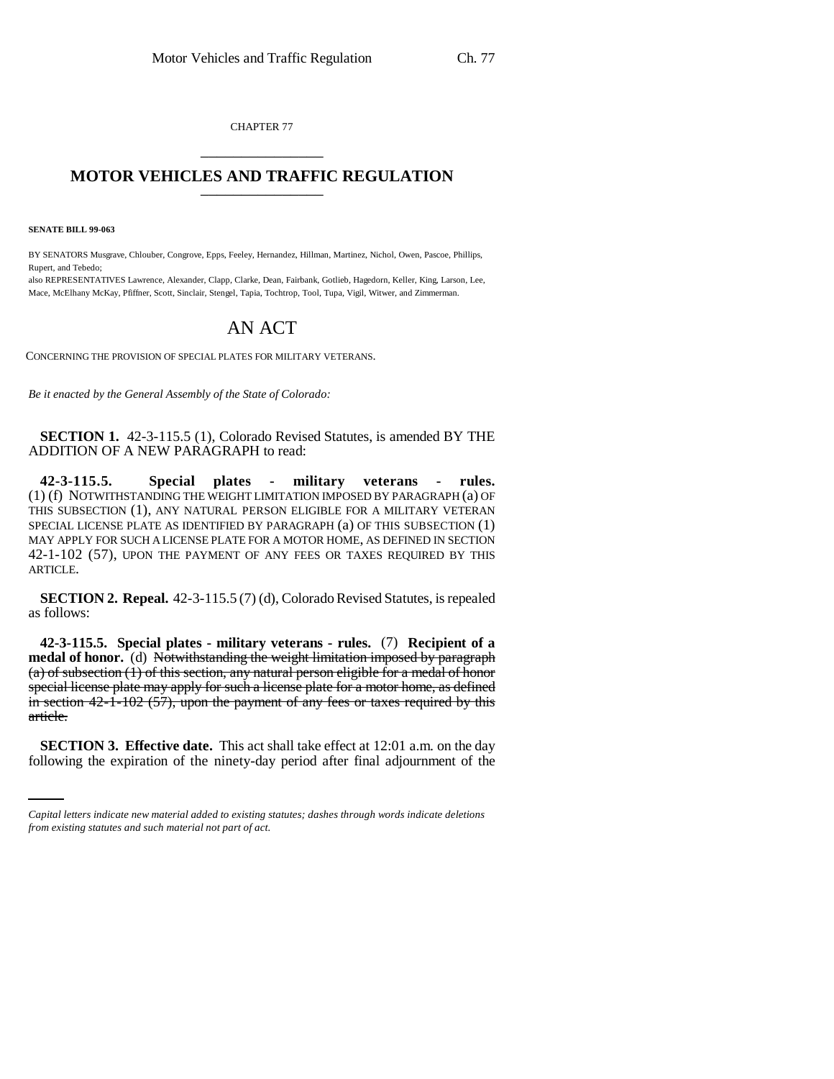CHAPTER 77 \_\_\_\_\_\_\_\_\_\_\_\_\_\_\_

## **MOTOR VEHICLES AND TRAFFIC REGULATION** \_\_\_\_\_\_\_\_\_\_\_\_\_\_\_

**SENATE BILL 99-063**

BY SENATORS Musgrave, Chlouber, Congrove, Epps, Feeley, Hernandez, Hillman, Martinez, Nichol, Owen, Pascoe, Phillips, Rupert, and Tebedo;

also REPRESENTATIVES Lawrence, Alexander, Clapp, Clarke, Dean, Fairbank, Gotlieb, Hagedorn, Keller, King, Larson, Lee, Mace, McElhany McKay, Pfiffner, Scott, Sinclair, Stengel, Tapia, Tochtrop, Tool, Tupa, Vigil, Witwer, and Zimmerman.

## AN ACT

CONCERNING THE PROVISION OF SPECIAL PLATES FOR MILITARY VETERANS.

*Be it enacted by the General Assembly of the State of Colorado:*

**SECTION 1.** 42-3-115.5 (1), Colorado Revised Statutes, is amended BY THE ADDITION OF A NEW PARAGRAPH to read:

**42-3-115.5. Special plates - military veterans - rules.** (1) (f) NOTWITHSTANDING THE WEIGHT LIMITATION IMPOSED BY PARAGRAPH (a) OF THIS SUBSECTION (1), ANY NATURAL PERSON ELIGIBLE FOR A MILITARY VETERAN SPECIAL LICENSE PLATE AS IDENTIFIED BY PARAGRAPH (a) OF THIS SUBSECTION (1) MAY APPLY FOR SUCH A LICENSE PLATE FOR A MOTOR HOME, AS DEFINED IN SECTION 42-1-102 (57), UPON THE PAYMENT OF ANY FEES OR TAXES REQUIRED BY THIS ARTICLE.

**SECTION 2. Repeal.** 42-3-115.5 (7) (d), Colorado Revised Statutes, is repealed as follows:

**42-3-115.5. Special plates - military veterans - rules.** (7) **Recipient of a medal of honor.** (d) Notwithstanding the weight limitation imposed by paragraph (a) of subsection (1) of this section, any natural person eligible for a medal of honor special license plate may apply for such a license plate for a motor home, as defined in section 42-1-102 (57), upon the payment of any fees or taxes required by this article.

**SECTION 3. Effective date.** This act shall take effect at 12:01 a.m. on the day following the expiration of the ninety-day period after final adjournment of the

*Capital letters indicate new material added to existing statutes; dashes through words indicate deletions from existing statutes and such material not part of act.*